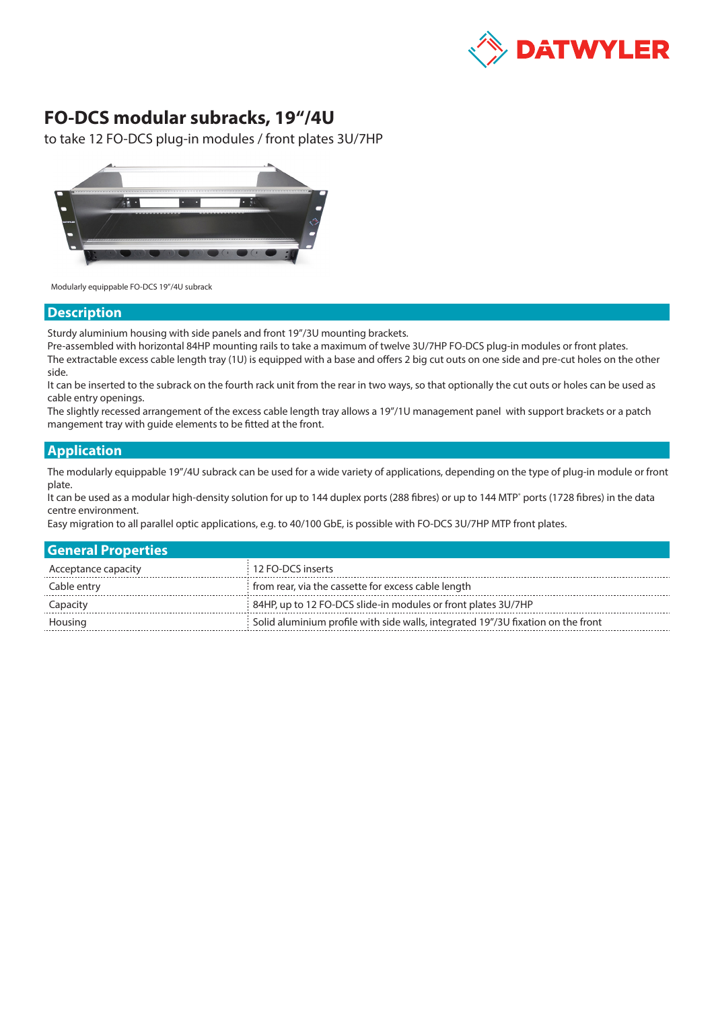

## **FO-DCS modular subracks, 19"/4U**

to take 12 FO-DCS plug-in modules / front plates 3U/7HP



Modularly equippable FO-DCS 19"/4U subrack

## **Description**

Sturdy aluminium housing with side panels and front 19"/3U mounting brackets.

Pre-assembled with horizontal 84HP mounting rails to take a maximum of twelve 3U/7HP FO-DCS plug-in modules or front plates. The extractable excess cable length tray (1U) is equipped with a base and offers 2 big cut outs on one side and pre-cut holes on the other side.

It can be inserted to the subrack on the fourth rack unit from the rear in two ways, so that optionally the cut outs or holes can be used as cable entry openings.

The slightly recessed arrangement of the excess cable length tray allows a 19"/1U management panel with support brackets or a patch mangement tray with guide elements to be fitted at the front.

## **Application**

The modularly equippable 19"/4U subrack can be used for a wide variety of applications, depending on the type of plug-in module or front plate.

It can be used as a modular high-density solution for up to 144 duplex ports (288 fibres) or up to 144 MTP<sup>®</sup> ports (1728 fibres) in the data centre environment.

Easy migration to all parallel optic applications, e.g. to 40/100 GbE, is possible with FO-DCS 3U/7HP MTP front plates.

| <b>General Properties</b> |                                                                                  |
|---------------------------|----------------------------------------------------------------------------------|
| Acceptance capacity       | 12 FO-DCS inserts                                                                |
| Cable entry               | from rear, via the cassette for excess cable length                              |
| Capacity                  | 84HP, up to 12 FO-DCS slide-in modules or front plates 3U/7HP                    |
| Housing                   | Solid aluminium profile with side walls, integrated 19"/3U fixation on the front |